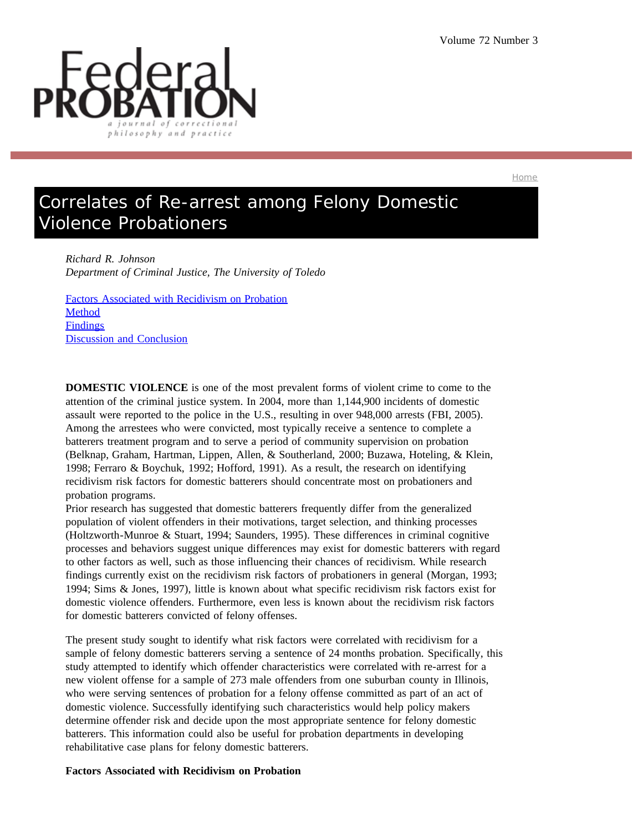

Home

# Correlates of Re-arrest among Felony Domestic Violence Probationers

*Richard R. Johnson Department of Criminal Justice, The University of Toledo*

Factors Associated with Recidivism on Probation Method **Findings** Discussion and Conclusion

**DOMESTIC VIOLENCE** is one of the most prevalent forms of violent crime to come to the attention of the criminal justice system. In 2004, more than 1,144,900 incidents of domestic assault were reported to the police in the U.S., resulting in over 948,000 arrests (FBI, 2005). Among the arrestees who were convicted, most typically receive a sentence to complete a batterers treatment program and to serve a period of community supervision on probation (Belknap, Graham, Hartman, Lippen, Allen, & Southerland, 2000; Buzawa, Hoteling, & Klein, 1998; Ferraro & Boychuk, 1992; Hofford, 1991). As a result, the research on identifying recidivism risk factors for domestic batterers should concentrate most on probationers and probation programs.

Prior research has suggested that domestic batterers frequently differ from the generalized population of violent offenders in their motivations, target selection, and thinking processes (Holtzworth-Munroe & Stuart, 1994; Saunders, 1995). These differences in criminal cognitive processes and behaviors suggest unique differences may exist for domestic batterers with regard to other factors as well, such as those influencing their chances of recidivism. While research findings currently exist on the recidivism risk factors of probationers in general (Morgan, 1993; 1994; Sims & Jones, 1997), little is known about what specific recidivism risk factors exist for domestic violence offenders. Furthermore, even less is known about the recidivism risk factors for domestic batterers convicted of felony offenses.

The present study sought to identify what risk factors were correlated with recidivism for a sample of felony domestic batterers serving a sentence of 24 months probation. Specifically, this study attempted to identify which offender characteristics were correlated with re-arrest for a new violent offense for a sample of 273 male offenders from one suburban county in Illinois, who were serving sentences of probation for a felony offense committed as part of an act of domestic violence. Successfully identifying such characteristics would help policy makers determine offender risk and decide upon the most appropriate sentence for felony domestic batterers. This information could also be useful for probation departments in developing rehabilitative case plans for felony domestic batterers.

## **Factors Associated with Recidivism on Probation**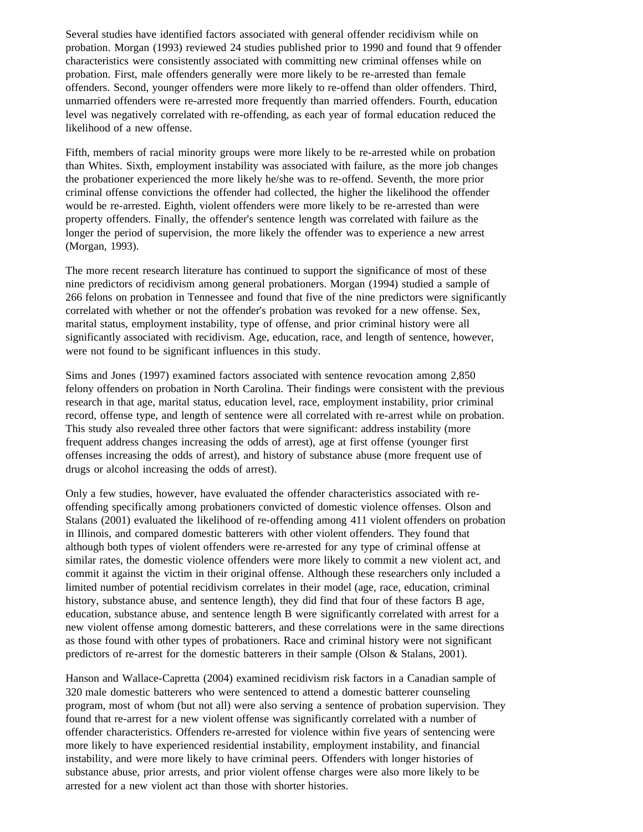Several studies have identified factors associated with general offender recidivism while on probation. Morgan (1993) reviewed 24 studies published prior to 1990 and found that 9 offender characteristics were consistently associated with committing new criminal offenses while on probation. First, male offenders generally were more likely to be re-arrested than female offenders. Second, younger offenders were more likely to re-offend than older offenders. Third, unmarried offenders were re-arrested more frequently than married offenders. Fourth, education level was negatively correlated with re-offending, as each year of formal education reduced the likelihood of a new offense.

Fifth, members of racial minority groups were more likely to be re-arrested while on probation than Whites. Sixth, employment instability was associated with failure, as the more job changes the probationer experienced the more likely he/she was to re-offend. Seventh, the more prior criminal offense convictions the offender had collected, the higher the likelihood the offender would be re-arrested. Eighth, violent offenders were more likely to be re-arrested than were property offenders. Finally, the offender's sentence length was correlated with failure as the longer the period of supervision, the more likely the offender was to experience a new arrest (Morgan, 1993).

The more recent research literature has continued to support the significance of most of these nine predictors of recidivism among general probationers. Morgan (1994) studied a sample of 266 felons on probation in Tennessee and found that five of the nine predictors were significantly correlated with whether or not the offender's probation was revoked for a new offense. Sex, marital status, employment instability, type of offense, and prior criminal history were all significantly associated with recidivism. Age, education, race, and length of sentence, however, were not found to be significant influences in this study.

Sims and Jones (1997) examined factors associated with sentence revocation among 2,850 felony offenders on probation in North Carolina. Their findings were consistent with the previous research in that age, marital status, education level, race, employment instability, prior criminal record, offense type, and length of sentence were all correlated with re-arrest while on probation. This study also revealed three other factors that were significant: address instability (more frequent address changes increasing the odds of arrest), age at first offense (younger first offenses increasing the odds of arrest), and history of substance abuse (more frequent use of drugs or alcohol increasing the odds of arrest).

Only a few studies, however, have evaluated the offender characteristics associated with reoffending specifically among probationers convicted of domestic violence offenses. Olson and Stalans (2001) evaluated the likelihood of re-offending among 411 violent offenders on probation in Illinois, and compared domestic batterers with other violent offenders. They found that although both types of violent offenders were re-arrested for any type of criminal offense at similar rates, the domestic violence offenders were more likely to commit a new violent act, and commit it against the victim in their original offense. Although these researchers only included a limited number of potential recidivism correlates in their model (age, race, education, criminal history, substance abuse, and sentence length), they did find that four of these factors B age, education, substance abuse, and sentence length B were significantly correlated with arrest for a new violent offense among domestic batterers, and these correlations were in the same directions as those found with other types of probationers. Race and criminal history were not significant predictors of re-arrest for the domestic batterers in their sample (Olson & Stalans, 2001).

Hanson and Wallace-Capretta (2004) examined recidivism risk factors in a Canadian sample of 320 male domestic batterers who were sentenced to attend a domestic batterer counseling program, most of whom (but not all) were also serving a sentence of probation supervision. They found that re-arrest for a new violent offense was significantly correlated with a number of offender characteristics. Offenders re-arrested for violence within five years of sentencing were more likely to have experienced residential instability, employment instability, and financial instability, and were more likely to have criminal peers. Offenders with longer histories of substance abuse, prior arrests, and prior violent offense charges were also more likely to be arrested for a new violent act than those with shorter histories.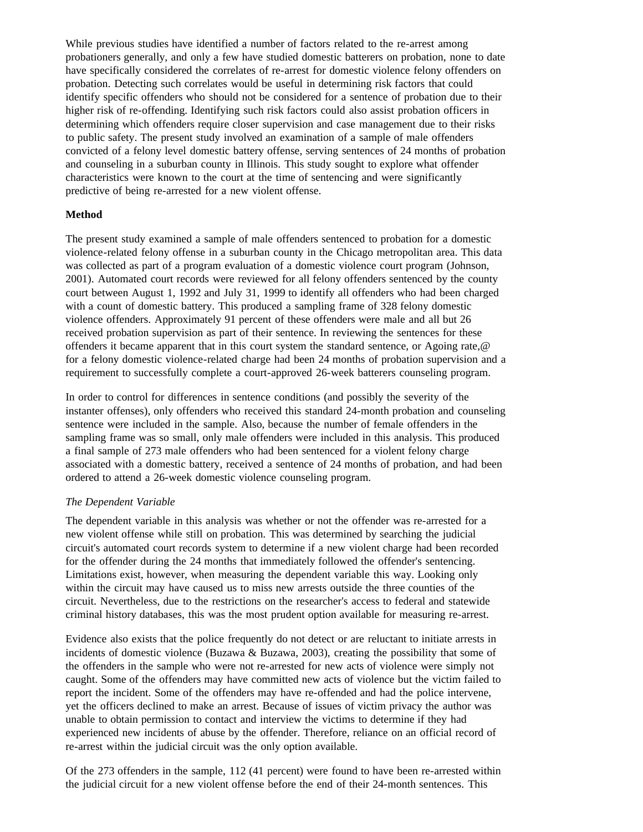While previous studies have identified a number of factors related to the re-arrest among probationers generally, and only a few have studied domestic batterers on probation, none to date have specifically considered the correlates of re-arrest for domestic violence felony offenders on probation. Detecting such correlates would be useful in determining risk factors that could identify specific offenders who should not be considered for a sentence of probation due to their higher risk of re-offending. Identifying such risk factors could also assist probation officers in determining which offenders require closer supervision and case management due to their risks to public safety. The present study involved an examination of a sample of male offenders convicted of a felony level domestic battery offense, serving sentences of 24 months of probation and counseling in a suburban county in Illinois. This study sought to explore what offender characteristics were known to the court at the time of sentencing and were significantly predictive of being re-arrested for a new violent offense.

# **Method**

The present study examined a sample of male offenders sentenced to probation for a domestic violence-related felony offense in a suburban county in the Chicago metropolitan area. This data was collected as part of a program evaluation of a domestic violence court program (Johnson, 2001). Automated court records were reviewed for all felony offenders sentenced by the county court between August 1, 1992 and July 31, 1999 to identify all offenders who had been charged with a count of domestic battery. This produced a sampling frame of 328 felony domestic violence offenders. Approximately 91 percent of these offenders were male and all but 26 received probation supervision as part of their sentence. In reviewing the sentences for these offenders it became apparent that in this court system the standard sentence, or Agoing rate,@ for a felony domestic violence-related charge had been 24 months of probation supervision and a requirement to successfully complete a court-approved 26-week batterers counseling program.

In order to control for differences in sentence conditions (and possibly the severity of the instanter offenses), only offenders who received this standard 24-month probation and counseling sentence were included in the sample. Also, because the number of female offenders in the sampling frame was so small, only male offenders were included in this analysis. This produced a final sample of 273 male offenders who had been sentenced for a violent felony charge associated with a domestic battery, received a sentence of 24 months of probation, and had been ordered to attend a 26-week domestic violence counseling program.

## *The Dependent Variable*

The dependent variable in this analysis was whether or not the offender was re-arrested for a new violent offense while still on probation. This was determined by searching the judicial circuit's automated court records system to determine if a new violent charge had been recorded for the offender during the 24 months that immediately followed the offender's sentencing. Limitations exist, however, when measuring the dependent variable this way. Looking only within the circuit may have caused us to miss new arrests outside the three counties of the circuit. Nevertheless, due to the restrictions on the researcher's access to federal and statewide criminal history databases, this was the most prudent option available for measuring re-arrest.

Evidence also exists that the police frequently do not detect or are reluctant to initiate arrests in incidents of domestic violence (Buzawa  $\&$  Buzawa, 2003), creating the possibility that some of the offenders in the sample who were not re-arrested for new acts of violence were simply not caught. Some of the offenders may have committed new acts of violence but the victim failed to report the incident. Some of the offenders may have re-offended and had the police intervene, yet the officers declined to make an arrest. Because of issues of victim privacy the author was unable to obtain permission to contact and interview the victims to determine if they had experienced new incidents of abuse by the offender. Therefore, reliance on an official record of re-arrest within the judicial circuit was the only option available.

Of the 273 offenders in the sample, 112 (41 percent) were found to have been re-arrested within the judicial circuit for a new violent offense before the end of their 24-month sentences. This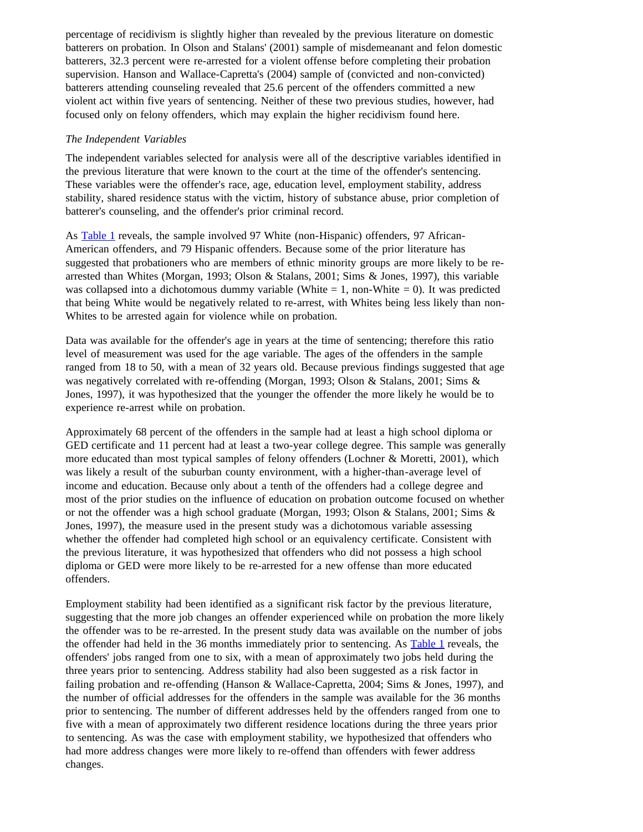percentage of recidivism is slightly higher than revealed by the previous literature on domestic batterers on probation. In Olson and Stalans' (2001) sample of misdemeanant and felon domestic batterers, 32.3 percent were re-arrested for a violent offense before completing their probation supervision. Hanson and Wallace-Capretta's (2004) sample of (convicted and non-convicted) batterers attending counseling revealed that 25.6 percent of the offenders committed a new violent act within five years of sentencing. Neither of these two previous studies, however, had focused only on felony offenders, which may explain the higher recidivism found here.

## *The Independent Variables*

The independent variables selected for analysis were all of the descriptive variables identified in the previous literature that were known to the court at the time of the offender's sentencing. These variables were the offender's race, age, education level, employment stability, address stability, shared residence status with the victim, history of substance abuse, prior completion of batterer's counseling, and the offender's prior criminal record.

As Table 1 reveals, the sample involved 97 White (non-Hispanic) offenders, 97 African-American offenders, and 79 Hispanic offenders. Because some of the prior literature has suggested that probationers who are members of ethnic minority groups are more likely to be rearrested than Whites (Morgan, 1993; Olson & Stalans, 2001; Sims & Jones, 1997), this variable was collapsed into a dichotomous dummy variable (White  $= 1$ , non-White  $= 0$ ). It was predicted that being White would be negatively related to re-arrest, with Whites being less likely than non-Whites to be arrested again for violence while on probation.

Data was available for the offender's age in years at the time of sentencing; therefore this ratio level of measurement was used for the age variable. The ages of the offenders in the sample ranged from 18 to 50, with a mean of 32 years old. Because previous findings suggested that age was negatively correlated with re-offending (Morgan, 1993; Olson & Stalans, 2001; Sims & Jones, 1997), it was hypothesized that the younger the offender the more likely he would be to experience re-arrest while on probation.

Approximately 68 percent of the offenders in the sample had at least a high school diploma or GED certificate and 11 percent had at least a two-year college degree. This sample was generally more educated than most typical samples of felony offenders (Lochner & Moretti, 2001), which was likely a result of the suburban county environment, with a higher-than-average level of income and education. Because only about a tenth of the offenders had a college degree and most of the prior studies on the influence of education on probation outcome focused on whether or not the offender was a high school graduate (Morgan, 1993; Olson & Stalans, 2001; Sims & Jones, 1997), the measure used in the present study was a dichotomous variable assessing whether the offender had completed high school or an equivalency certificate. Consistent with the previous literature, it was hypothesized that offenders who did not possess a high school diploma or GED were more likely to be re-arrested for a new offense than more educated offenders.

Employment stability had been identified as a significant risk factor by the previous literature, suggesting that the more job changes an offender experienced while on probation the more likely the offender was to be re-arrested. In the present study data was available on the number of jobs the offender had held in the 36 months immediately prior to sentencing. As **Table 1** reveals, the offenders' jobs ranged from one to six, with a mean of approximately two jobs held during the three years prior to sentencing. Address stability had also been suggested as a risk factor in failing probation and re-offending (Hanson & Wallace-Capretta, 2004; Sims & Jones, 1997), and the number of official addresses for the offenders in the sample was available for the 36 months prior to sentencing. The number of different addresses held by the offenders ranged from one to five with a mean of approximately two different residence locations during the three years prior to sentencing. As was the case with employment stability, we hypothesized that offenders who had more address changes were more likely to re-offend than offenders with fewer address changes.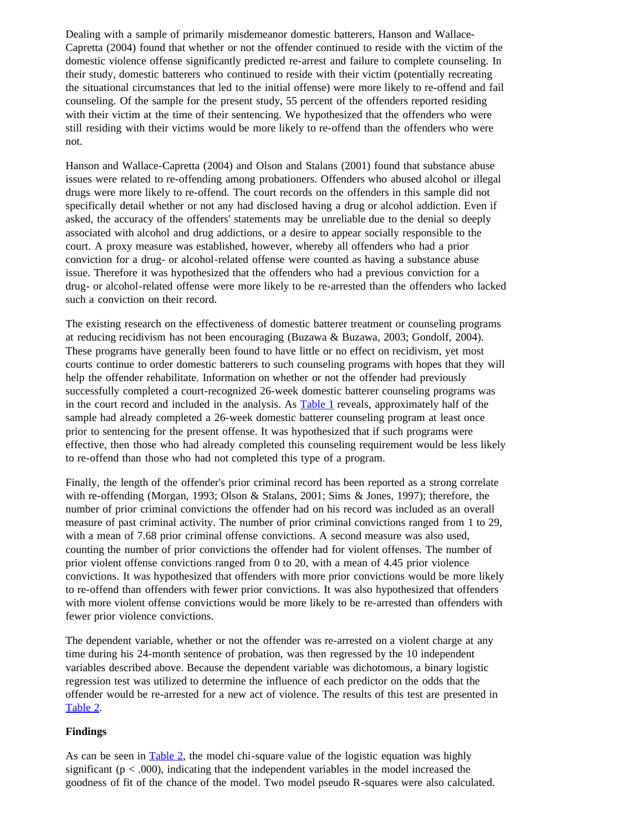Dealing with a sample of primarily misdemeanor domestic batterers, Hanson and Wallace-Capretta (2004) found that whether or not the offender continued to reside with the victim of the domestic violence offense significantly predicted re-arrest and failure to complete counseling. In their study, domestic batterers who continued to reside with their victim (potentially recreating the situational circumstances that led to the initial offense) were more likely to re-offend and fail counseling. Of the sample for the present study, 55 percent of the offenders reported residing with their victim at the time of their sentencing. We hypothesized that the offenders who were still residing with their victims would be more likely to re-offend than the offenders who were not.

Hanson and Wallace-Capretta (2004) and Olson and Stalans (2001) found that substance abuse issues were related to re-offending among probationers. Offenders who abused alcohol or illegal drugs were more likely to re-offend. The court records on the offenders in this sample did not specifically detail whether or not any had disclosed having a drug or alcohol addiction. Even if asked, the accuracy of the offenders' statements may be unreliable due to the denial so deeply associated with alcohol and drug addictions, or a desire to appear socially responsible to the court. A proxy measure was established, however, whereby all offenders who had a prior conviction for a drug- or alcohol-related offense were counted as having a substance abuse issue. Therefore it was hypothesized that the offenders who had a previous conviction for a drug- or alcohol-related offense were more likely to be re-arrested than the offenders who lacked such a conviction on their record.

The existing research on the effectiveness of domestic batterer treatment or counseling programs at reducing recidivism has not been encouraging (Buzawa & Buzawa, 2003; Gondolf, 2004). These programs have generally been found to have little or no effect on recidivism, yet most courts continue to order domestic batterers to such counseling programs with hopes that they will help the offender rehabilitate. Information on whether or not the offender had previously successfully completed a court-recognized 26-week domestic batterer counseling programs was in the court record and included in the analysis. As **Table 1** reveals, approximately half of the sample had already completed a 26-week domestic batterer counseling program at least once prior to sentencing for the present offense. It was hypothesized that if such programs were effective, then those who had already completed this counseling requirement would be less likely to re-offend than those who had not completed this type of a program.

Finally, the length of the offender's prior criminal record has been reported as a strong correlate with re-offending (Morgan, 1993; Olson & Stalans, 2001; Sims & Jones, 1997); therefore, the number of prior criminal convictions the offender had on his record was included as an overall measure of past criminal activity. The number of prior criminal convictions ranged from 1 to 29, with a mean of 7.68 prior criminal offense convictions. A second measure was also used, counting the number of prior convictions the offender had for violent offenses. The number of prior violent offense convictions ranged from 0 to 20, with a mean of 4.45 prior violence convictions. It was hypothesized that offenders with more prior convictions would be more likely to re-offend than offenders with fewer prior convictions. It was also hypothesized that offenders with more violent offense convictions would be more likely to be re-arrested than offenders with fewer prior violence convictions.

The dependent variable, whether or not the offender was re-arrested on a violent charge at any time during his 24-month sentence of probation, was then regressed by the 10 independent variables described above. Because the dependent variable was dichotomous, a binary logistic regression test was utilized to determine the influence of each predictor on the odds that the offender would be re-arrested for a new act of violence. The results of this test are presented in Table 2.

## **Findings**

As can be seen in <u>Table 2</u>, the model chi-square value of the logistic equation was highly significant ( $p < .000$ ), indicating that the independent variables in the model increased the goodness of fit of the chance of the model. Two model pseudo R-squares were also calculated.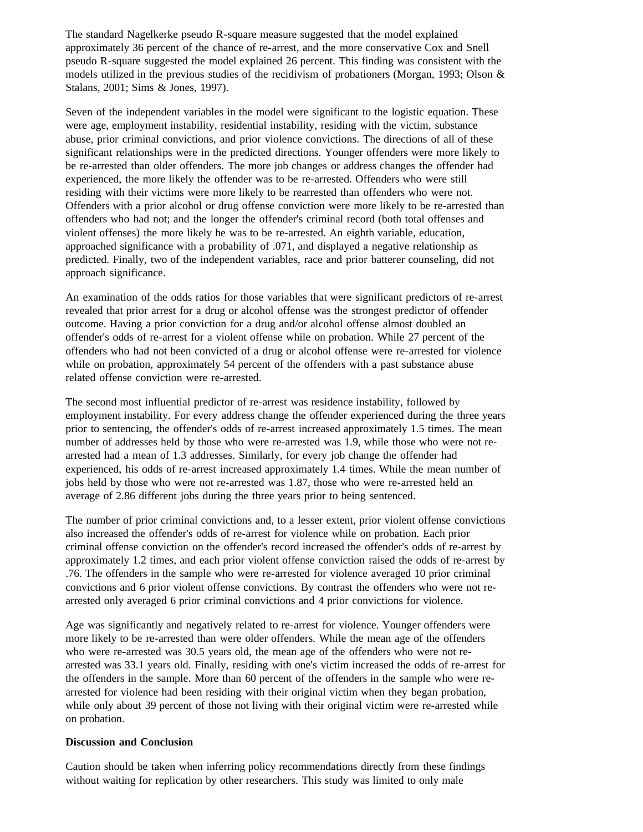The standard Nagelkerke pseudo R-square measure suggested that the model explained approximately 36 percent of the chance of re-arrest, and the more conservative Cox and Snell pseudo R-square suggested the model explained 26 percent. This finding was consistent with the models utilized in the previous studies of the recidivism of probationers (Morgan, 1993; Olson & Stalans, 2001; Sims & Jones, 1997).

Seven of the independent variables in the model were significant to the logistic equation. These were age, employment instability, residential instability, residing with the victim, substance abuse, prior criminal convictions, and prior violence convictions. The directions of all of these significant relationships were in the predicted directions. Younger offenders were more likely to be re-arrested than older offenders. The more job changes or address changes the offender had experienced, the more likely the offender was to be re-arrested. Offenders who were still residing with their victims were more likely to be rearrested than offenders who were not. Offenders with a prior alcohol or drug offense conviction were more likely to be re-arrested than offenders who had not; and the longer the offender's criminal record (both total offenses and violent offenses) the more likely he was to be re-arrested. An eighth variable, education, approached significance with a probability of .071, and displayed a negative relationship as predicted. Finally, two of the independent variables, race and prior batterer counseling, did not approach significance.

An examination of the odds ratios for those variables that were significant predictors of re-arrest revealed that prior arrest for a drug or alcohol offense was the strongest predictor of offender outcome. Having a prior conviction for a drug and/or alcohol offense almost doubled an offender's odds of re-arrest for a violent offense while on probation. While 27 percent of the offenders who had not been convicted of a drug or alcohol offense were re-arrested for violence while on probation, approximately 54 percent of the offenders with a past substance abuse related offense conviction were re-arrested.

The second most influential predictor of re-arrest was residence instability, followed by employment instability. For every address change the offender experienced during the three years prior to sentencing, the offender's odds of re-arrest increased approximately 1.5 times. The mean number of addresses held by those who were re-arrested was 1.9, while those who were not rearrested had a mean of 1.3 addresses. Similarly, for every job change the offender had experienced, his odds of re-arrest increased approximately 1.4 times. While the mean number of jobs held by those who were not re-arrested was 1.87, those who were re-arrested held an average of 2.86 different jobs during the three years prior to being sentenced.

The number of prior criminal convictions and, to a lesser extent, prior violent offense convictions also increased the offender's odds of re-arrest for violence while on probation. Each prior criminal offense conviction on the offender's record increased the offender's odds of re-arrest by approximately 1.2 times, and each prior violent offense conviction raised the odds of re-arrest by .76. The offenders in the sample who were re-arrested for violence averaged 10 prior criminal convictions and 6 prior violent offense convictions. By contrast the offenders who were not rearrested only averaged 6 prior criminal convictions and 4 prior convictions for violence.

Age was significantly and negatively related to re-arrest for violence. Younger offenders were more likely to be re-arrested than were older offenders. While the mean age of the offenders who were re-arrested was 30.5 years old, the mean age of the offenders who were not rearrested was 33.1 years old. Finally, residing with one's victim increased the odds of re-arrest for the offenders in the sample. More than 60 percent of the offenders in the sample who were rearrested for violence had been residing with their original victim when they began probation, while only about 39 percent of those not living with their original victim were re-arrested while on probation.

## **Discussion and Conclusion**

Caution should be taken when inferring policy recommendations directly from these findings without waiting for replication by other researchers. This study was limited to only male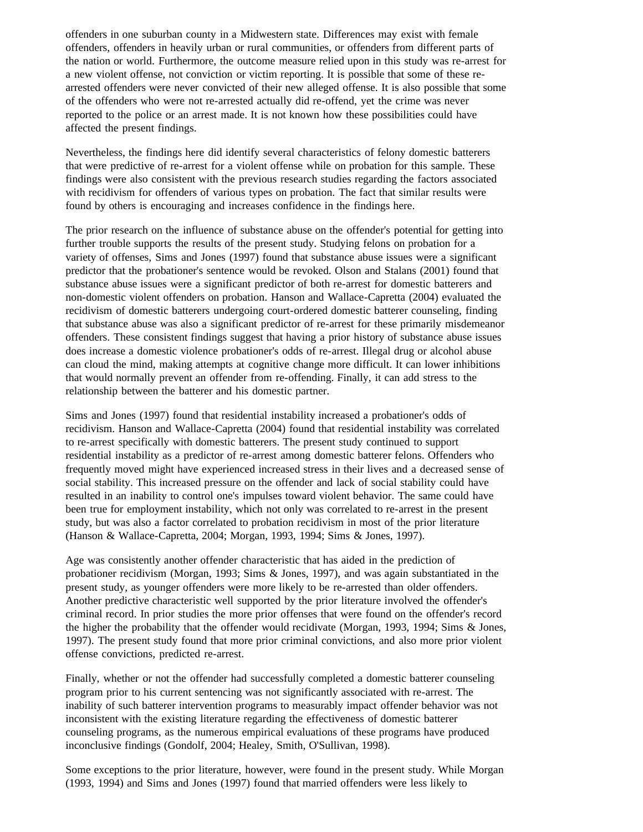offenders in one suburban county in a Midwestern state. Differences may exist with female offenders, offenders in heavily urban or rural communities, or offenders from different parts of the nation or world. Furthermore, the outcome measure relied upon in this study was re-arrest for a new violent offense, not conviction or victim reporting. It is possible that some of these rearrested offenders were never convicted of their new alleged offense. It is also possible that some of the offenders who were not re-arrested actually did re-offend, yet the crime was never reported to the police or an arrest made. It is not known how these possibilities could have affected the present findings.

Nevertheless, the findings here did identify several characteristics of felony domestic batterers that were predictive of re-arrest for a violent offense while on probation for this sample. These findings were also consistent with the previous research studies regarding the factors associated with recidivism for offenders of various types on probation. The fact that similar results were found by others is encouraging and increases confidence in the findings here.

The prior research on the influence of substance abuse on the offender's potential for getting into further trouble supports the results of the present study. Studying felons on probation for a variety of offenses, Sims and Jones (1997) found that substance abuse issues were a significant predictor that the probationer's sentence would be revoked. Olson and Stalans (2001) found that substance abuse issues were a significant predictor of both re-arrest for domestic batterers and non-domestic violent offenders on probation. Hanson and Wallace-Capretta (2004) evaluated the recidivism of domestic batterers undergoing court-ordered domestic batterer counseling, finding that substance abuse was also a significant predictor of re-arrest for these primarily misdemeanor offenders. These consistent findings suggest that having a prior history of substance abuse issues does increase a domestic violence probationer's odds of re-arrest. Illegal drug or alcohol abuse can cloud the mind, making attempts at cognitive change more difficult. It can lower inhibitions that would normally prevent an offender from re-offending. Finally, it can add stress to the relationship between the batterer and his domestic partner.

Sims and Jones (1997) found that residential instability increased a probationer's odds of recidivism. Hanson and Wallace-Capretta (2004) found that residential instability was correlated to re-arrest specifically with domestic batterers. The present study continued to support residential instability as a predictor of re-arrest among domestic batterer felons. Offenders who frequently moved might have experienced increased stress in their lives and a decreased sense of social stability. This increased pressure on the offender and lack of social stability could have resulted in an inability to control one's impulses toward violent behavior. The same could have been true for employment instability, which not only was correlated to re-arrest in the present study, but was also a factor correlated to probation recidivism in most of the prior literature (Hanson & Wallace-Capretta, 2004; Morgan, 1993, 1994; Sims & Jones, 1997).

Age was consistently another offender characteristic that has aided in the prediction of probationer recidivism (Morgan, 1993; Sims & Jones, 1997), and was again substantiated in the present study, as younger offenders were more likely to be re-arrested than older offenders. Another predictive characteristic well supported by the prior literature involved the offender's criminal record. In prior studies the more prior offenses that were found on the offender's record the higher the probability that the offender would recidivate (Morgan, 1993, 1994; Sims & Jones, 1997). The present study found that more prior criminal convictions, and also more prior violent offense convictions, predicted re-arrest.

Finally, whether or not the offender had successfully completed a domestic batterer counseling program prior to his current sentencing was not significantly associated with re-arrest. The inability of such batterer intervention programs to measurably impact offender behavior was not inconsistent with the existing literature regarding the effectiveness of domestic batterer counseling programs, as the numerous empirical evaluations of these programs have produced inconclusive findings (Gondolf, 2004; Healey, Smith, O'Sullivan, 1998).

Some exceptions to the prior literature, however, were found in the present study. While Morgan (1993, 1994) and Sims and Jones (1997) found that married offenders were less likely to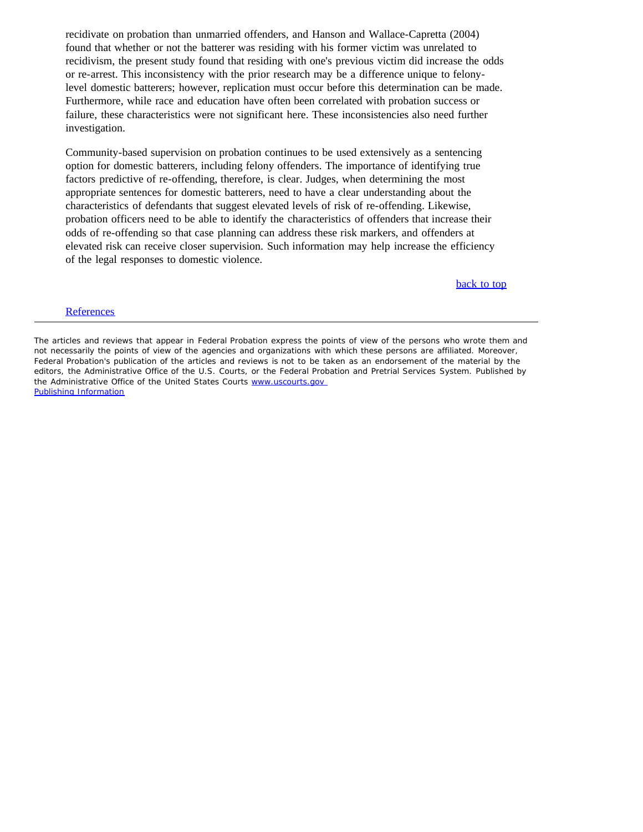recidivate on probation than unmarried offenders, and Hanson and Wallace-Capretta (2004) found that whether or not the batterer was residing with his former victim was unrelated to recidivism, the present study found that residing with one's previous victim did increase the odds or re-arrest. This inconsistency with the prior research may be a difference unique to felonylevel domestic batterers; however, replication must occur before this determination can be made. Furthermore, while race and education have often been correlated with probation success or failure, these characteristics were not significant here. These inconsistencies also need further investigation.

Community-based supervision on probation continues to be used extensively as a sentencing option for domestic batterers, including felony offenders. The importance of identifying true factors predictive of re-offending, therefore, is clear. Judges, when determining the most appropriate sentences for domestic batterers, need to have a clear understanding about the characteristics of defendants that suggest elevated levels of risk of re-offending. Likewise, probation officers need to be able to identify the characteristics of offenders that increase their odds of re-offending so that case planning can address these risk markers, and offenders at elevated risk can receive closer supervision. Such information may help increase the efficiency of the legal responses to domestic violence.

back to top

#### **References**

The articles and reviews that appear in *Federal Probation* express the points of view of the persons who wrote them and not necessarily the points of view of the agencies and organizations with which these persons are affiliated. Moreover, *Federal Probation's* publication of the articles and reviews is not to be taken as an endorsement of the material by the editors, the Administrative Office of the U.S. Courts, or the Federal Probation and Pretrial Services System. Published by the Administrative Office of the United States Courts www.uscourts.gov Publishing Information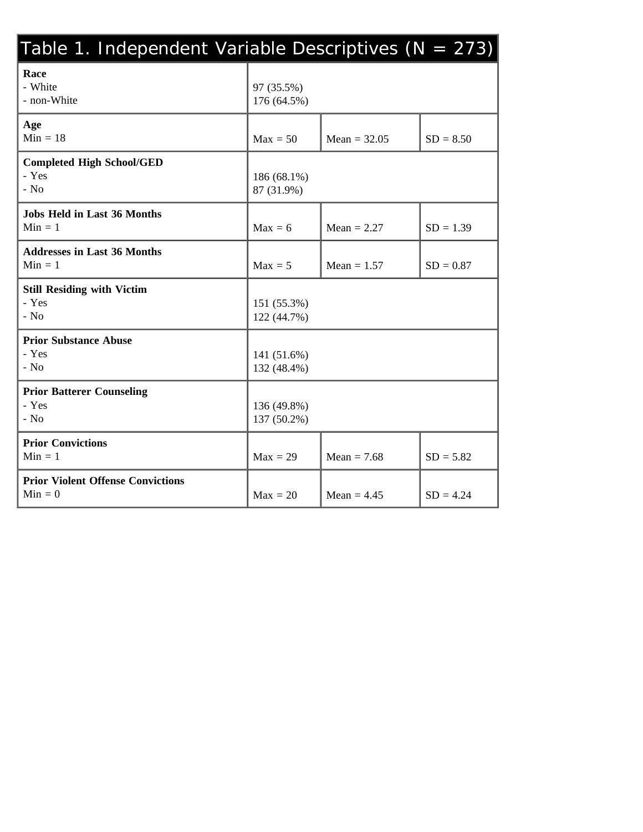| Table 1. Independent Variable Descriptives (N = 273)  |                            |                |             |  |
|-------------------------------------------------------|----------------------------|----------------|-------------|--|
| Race<br>- White<br>- non-White                        | 97 (35.5%)<br>176 (64.5%)  |                |             |  |
| Age<br>$Min = 18$                                     | $Max = 50$                 | Mean = $32.05$ | $SD = 8.50$ |  |
| <b>Completed High School/GED</b><br>- Yes<br>$-$ No   | 186 (68.1%)<br>87 (31.9%)  |                |             |  |
| <b>Jobs Held in Last 36 Months</b><br>$Min = 1$       | $Max = 6$                  | $Mean = 2.27$  | $SD = 1.39$ |  |
| <b>Addresses in Last 36 Months</b><br>$Min = 1$       | $Max = 5$                  | Mean = $1.57$  | $SD = 0.87$ |  |
| <b>Still Residing with Victim</b><br>- Yes<br>$-$ No  | 151 (55.3%)<br>122 (44.7%) |                |             |  |
| <b>Prior Substance Abuse</b><br>- Yes<br>$-$ No       | 141 (51.6%)<br>132 (48.4%) |                |             |  |
| <b>Prior Batterer Counseling</b><br>- Yes<br>- $No$   | 136 (49.8%)<br>137 (50.2%) |                |             |  |
| <b>Prior Convictions</b><br>$Min = 1$                 | $Max = 29$                 | Mean $= 7.68$  | $SD = 5.82$ |  |
| <b>Prior Violent Offense Convictions</b><br>$Min = 0$ | $Max = 20$                 | Mean $= 4.45$  | $SD = 4.24$ |  |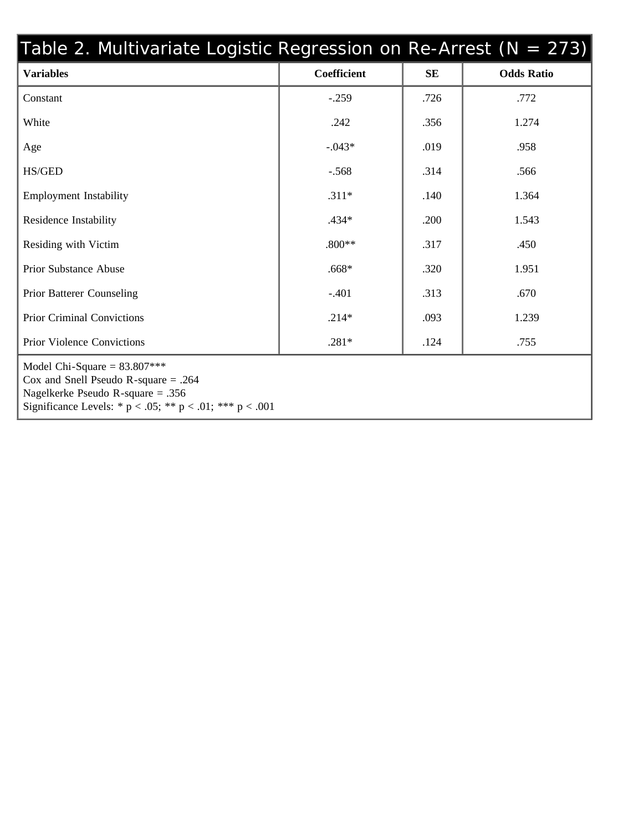| Table 2. Multivariate Logistic Regression on Re-Arrest ( $N = 273$ )                                                                                                                |             |           |                   |
|-------------------------------------------------------------------------------------------------------------------------------------------------------------------------------------|-------------|-----------|-------------------|
| <b>Variables</b>                                                                                                                                                                    | Coefficient | <b>SE</b> | <b>Odds Ratio</b> |
| Constant                                                                                                                                                                            | $-.259$     | .726      | .772              |
| White                                                                                                                                                                               | .242        | .356      | 1.274             |
| Age                                                                                                                                                                                 | $-.043*$    | .019      | .958              |
| HS/GED                                                                                                                                                                              | $-.568$     | .314      | .566              |
| <b>Employment Instability</b>                                                                                                                                                       | $.311*$     | .140      | 1.364             |
| Residence Instability                                                                                                                                                               | $.434*$     | .200      | 1.543             |
| Residing with Victim                                                                                                                                                                | $.800**$    | .317      | .450              |
| <b>Prior Substance Abuse</b>                                                                                                                                                        | $.668*$     | .320      | 1.951             |
| <b>Prior Batterer Counseling</b>                                                                                                                                                    | $-.401$     | .313      | .670              |
| <b>Prior Criminal Convictions</b>                                                                                                                                                   | $.214*$     | .093      | 1.239             |
| Prior Violence Convictions                                                                                                                                                          | $.281*$     | .124      | .755              |
| Model Chi-Square = $83.807***$<br>Cox and Snell Pseudo R-square $= .264$<br>Nagelkerke Pseudo R-square $= .356$<br>Significance Levels: * $p < .05$ ; ** $p < .01$ ; *** $p < .001$ |             |           |                   |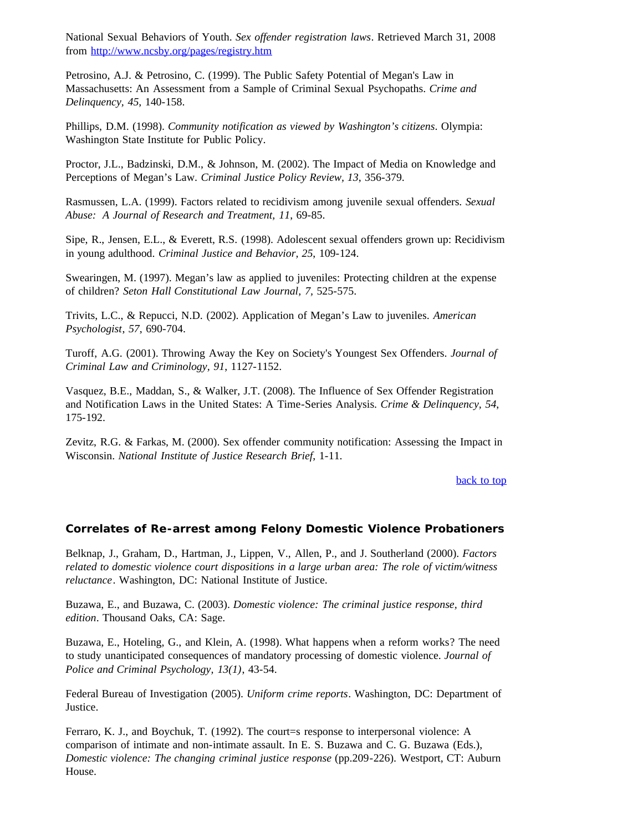National Sexual Behaviors of Youth. *Sex offender registration laws*. Retrieved March 31, 2008 from http://www.ncsby.org/pages/registry.htm

Petrosino, A.J. & Petrosino, C. (1999). The Public Safety Potential of Megan's Law in Massachusetts: An Assessment from a Sample of Criminal Sexual Psychopaths. *Crime and Delinquency, 45*, 140-158.

Phillips, D.M. (1998). *Community notification as viewed by Washington's citizens*. Olympia: Washington State Institute for Public Policy.

Proctor, J.L., Badzinski, D.M., & Johnson, M. (2002). The Impact of Media on Knowledge and Perceptions of Megan's Law. *Criminal Justice Policy Review, 13*, 356-379.

Rasmussen, L.A. (1999). Factors related to recidivism among juvenile sexual offenders. *Sexual Abuse: A Journal of Research and Treatment, 11*, 69-85.

Sipe, R., Jensen, E.L., & Everett, R.S. (1998). Adolescent sexual offenders grown up: Recidivism in young adulthood. *Criminal Justice and Behavior, 25*, 109-124.

Swearingen, M. (1997). Megan's law as applied to juveniles: Protecting children at the expense of children? *Seton Hall Constitutional Law Journal, 7,* 525-575.

Trivits, L.C., & Repucci, N.D. (2002). Application of Megan's Law to juveniles. *American Psychologist*, *57*, 690-704.

Turoff, A.G. (2001). Throwing Away the Key on Society's Youngest Sex Offenders. *Journal of Criminal Law and Criminology, 91*, 1127-1152.

Vasquez, B.E., Maddan, S., & Walker, J.T. (2008). The Influence of Sex Offender Registration and Notification Laws in the United States: A Time-Series Analysis. *Crime & Delinquency, 54*, 175-192.

Zevitz, R.G. & Farkas, M. (2000). Sex offender community notification: Assessing the Impact in Wisconsin. *National Institute of Justice Research Brief*, 1-11.

back to top

## **Correlates of Re-arrest among Felony Domestic Violence Probationers**

Belknap, J., Graham, D., Hartman, J., Lippen, V., Allen, P., and J. Southerland (2000). *Factors related to domestic violence court dispositions in a large urban area: The role of victim/witness reluctance*. Washington, DC: National Institute of Justice.

Buzawa, E., and Buzawa, C. (2003). *Domestic violence: The criminal justice response, third edition*. Thousand Oaks, CA: Sage.

Buzawa, E., Hoteling, G., and Klein, A. (1998). What happens when a reform works? The need to study unanticipated consequences of mandatory processing of domestic violence. *Journal of Police and Criminal Psychology, 13(1)*, 43-54.

Federal Bureau of Investigation (2005). *Uniform crime reports*. Washington, DC: Department of Justice.

Ferraro, K. J., and Boychuk, T. (1992). The court=s response to interpersonal violence: A comparison of intimate and non-intimate assault. In E. S. Buzawa and C. G. Buzawa (Eds.), *Domestic violence: The changing criminal justice response* (pp.209-226). Westport, CT: Auburn House.